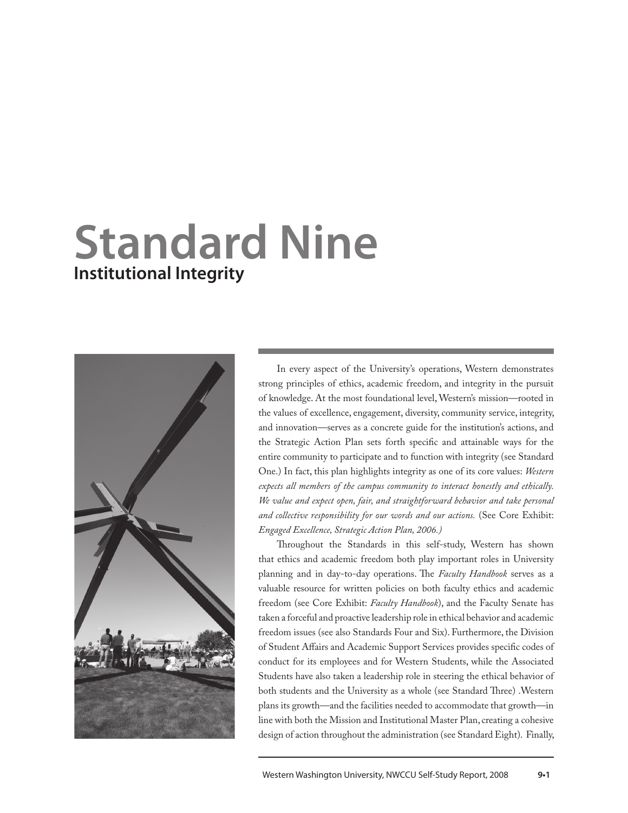# **Standard Nine Institutional Integrity**



In every aspect of the University's operations, Western demonstrates strong principles of ethics, academic freedom, and integrity in the pursuit of knowledge. At the most foundational level, Western's mission—rooted in the values of excellence, engagement, diversity, community service, integrity, and innovation—serves as a concrete guide for the institution's actions, and the Strategic Action Plan sets forth specific and attainable ways for the entire community to participate and to function with integrity (see Standard One.) In fact, this plan highlights integrity as one of its core values: *Western expects all members of the campus community to interact honestly and ethically. We value and expect open, fair, and straightforward behavior and take personal and collective responsibility for our words and our actions.* (See Core Exhibit: *Engaged Excellence, Strategic Action Plan, 2006.)*

Throughout the Standards in this self-study, Western has shown that ethics and academic freedom both play important roles in University planning and in day-to-day operations. The *Faculty Handbook* serves as a valuable resource for written policies on both faculty ethics and academic freedom (see Core Exhibit: *Faculty Handbook*), and the Faculty Senate has taken a forceful and proactive leadership role in ethical behavior and academic freedom issues (see also Standards Four and Six). Furthermore, the Division of Student Affairs and Academic Support Services provides specific codes of conduct for its employees and for Western Students, while the Associated Students have also taken a leadership role in steering the ethical behavior of both students and the University as a whole (see Standard Three) .Western plans its growth—and the facilities needed to accommodate that growth—in line with both the Mission and Institutional Master Plan, creating a cohesive design of action throughout the administration (see Standard Eight). Finally,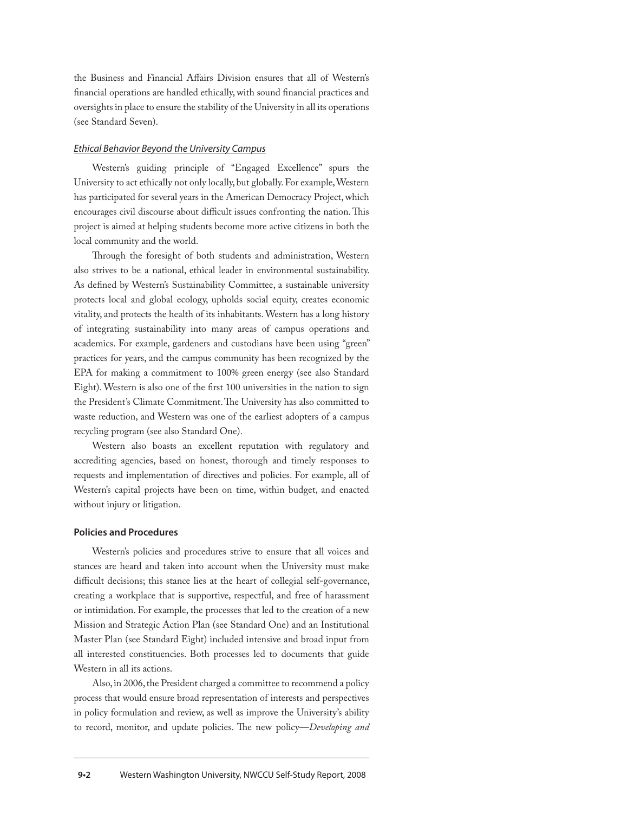the Business and Financial Affairs Division ensures that all of Western's financial operations are handled ethically, with sound financial practices and oversights in place to ensure the stability of the University in all its operations (see Standard Seven).

#### *Ethical Behavior Beyond the University Campus*

Western's guiding principle of "Engaged Excellence" spurs the University to act ethically not only locally, but globally. For example, Western has participated for several years in the American Democracy Project, which encourages civil discourse about difficult issues confronting the nation. This project is aimed at helping students become more active citizens in both the local community and the world.

Through the foresight of both students and administration, Western also strives to be a national, ethical leader in environmental sustainability. As defined by Western's Sustainability Committee, a sustainable university protects local and global ecology, upholds social equity, creates economic vitality, and protects the health of its inhabitants. Western has a long history of integrating sustainability into many areas of campus operations and academics. For example, gardeners and custodians have been using "green" practices for years, and the campus community has been recognized by the EPA for making a commitment to 100% green energy (see also Standard Eight). Western is also one of the first 100 universities in the nation to sign the President's Climate Commitment. The University has also committed to waste reduction, and Western was one of the earliest adopters of a campus recycling program (see also Standard One).

Western also boasts an excellent reputation with regulatory and accrediting agencies, based on honest, thorough and timely responses to requests and implementation of directives and policies. For example, all of Western's capital projects have been on time, within budget, and enacted without injury or litigation.

#### **Policies and Procedures**

Western's policies and procedures strive to ensure that all voices and stances are heard and taken into account when the University must make difficult decisions; this stance lies at the heart of collegial self-governance, creating a workplace that is supportive, respectful, and free of harassment or intimidation. For example, the processes that led to the creation of a new Mission and Strategic Action Plan (see Standard One) and an Institutional Master Plan (see Standard Eight) included intensive and broad input from all interested constituencies. Both processes led to documents that guide Western in all its actions.

Also, in 2006, the President charged a committee to recommend a policy process that would ensure broad representation of interests and perspectives in policy formulation and review, as well as improve the University's ability to record, monitor, and update policies. The new policy—*Developing and*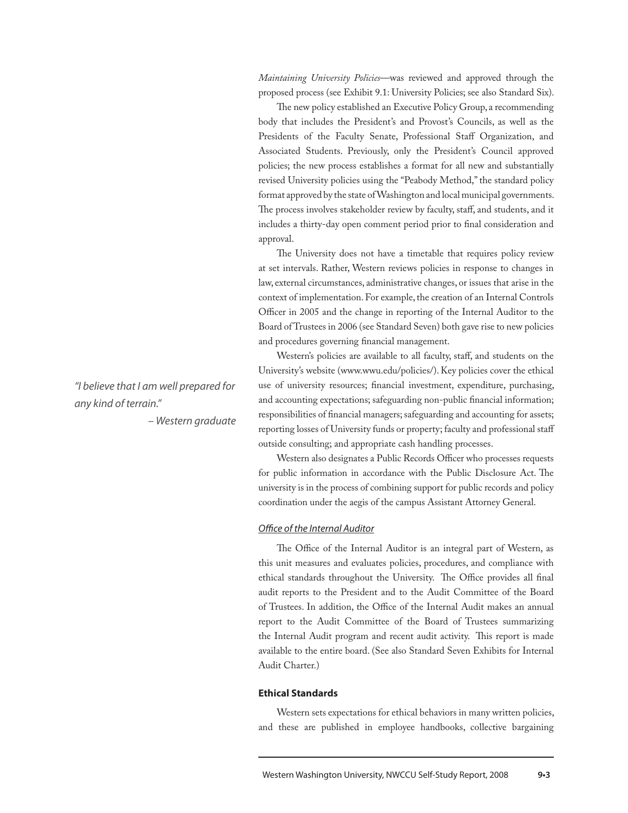*Maintaining University Policies*—was reviewed and approved through the proposed process (see Exhibit 9.1: University Policies; see also Standard Six).

The new policy established an Executive Policy Group, a recommending body that includes the President's and Provost's Councils, as well as the Presidents of the Faculty Senate, Professional Staff Organization, and Associated Students. Previously, only the President's Council approved policies; the new process establishes a format for all new and substantially revised University policies using the "Peabody Method," the standard policy format approved by the state of Washington and local municipal governments. The process involves stakeholder review by faculty, staff, and students, and it includes a thirty-day open comment period prior to final consideration and approval.

The University does not have a timetable that requires policy review at set intervals. Rather, Western reviews policies in response to changes in law, external circumstances, administrative changes, or issues that arise in the context of implementation. For example, the creation of an Internal Controls Officer in 2005 and the change in reporting of the Internal Auditor to the Board of Trustees in 2006 (see Standard Seven) both gave rise to new policies and procedures governing financial management.

Western's policies are available to all faculty, staff, and students on the University's website (www.wwu.edu/policies/). Key policies cover the ethical use of university resources; financial investment, expenditure, purchasing, and accounting expectations; safeguarding non-public financial information; responsibilities of financial managers; safeguarding and accounting for assets; reporting losses of University funds or property; faculty and professional staff outside consulting; and appropriate cash handling processes.

Western also designates a Public Records Officer who processes requests for public information in accordance with the Public Disclosure Act. The university is in the process of combining support for public records and policy coordination under the aegis of the campus Assistant Attorney General.

#### *Office of the Internal Auditor*

The Office of the Internal Auditor is an integral part of Western, as this unit measures and evaluates policies, procedures, and compliance with ethical standards throughout the University. The Office provides all final audit reports to the President and to the Audit Committee of the Board of Trustees. In addition, the Office of the Internal Audit makes an annual report to the Audit Committee of the Board of Trustees summarizing the Internal Audit program and recent audit activity. This report is made available to the entire board. (See also Standard Seven Exhibits for Internal Audit Charter.)

#### **Ethical Standards**

Western sets expectations for ethical behaviors in many written policies, and these are published in employee handbooks, collective bargaining

# *"I believe that I am well prepared for any kind of terrain."*

*– Western graduate*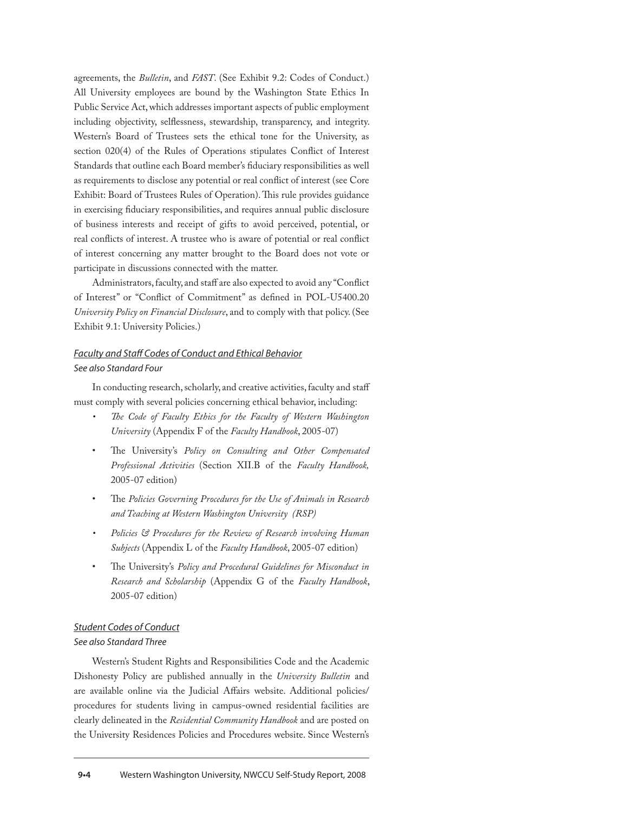agreements, the *Bulletin*, and *FAST*. (See Exhibit 9.2: Codes of Conduct.) All University employees are bound by the Washington State Ethics In Public Service Act, which addresses important aspects of public employment including objectivity, selflessness, stewardship, transparency, and integrity. Western's Board of Trustees sets the ethical tone for the University, as section 020(4) of the Rules of Operations stipulates Conflict of Interest Standards that outline each Board member's fiduciary responsibilities as well as requirements to disclose any potential or real conflict of interest (see Core Exhibit: Board of Trustees Rules of Operation). This rule provides guidance in exercising fiduciary responsibilities, and requires annual public disclosure of business interests and receipt of gifts to avoid perceived, potential, or real conflicts of interest. A trustee who is aware of potential or real conflict of interest concerning any matter brought to the Board does not vote or participate in discussions connected with the matter.

Administrators, faculty, and staff are also expected to avoid any "Conflict of Interest" or "Conflict of Commitment" as defined in POL-U5400.20 *University Policy on Financial Disclosure*, and to comply with that policy. (See Exhibit 9.1: University Policies.)

# *Faculty and Staff Codes of Conduct and Ethical Behavior See also Standard Four*

In conducting research, scholarly, and creative activities, faculty and staff must comply with several policies concerning ethical behavior, including:

- The Code of Faculty Ethics for the Faculty of Western Washington *University* (Appendix F of the *Faculty Handbook*, 2005-07)
- The University's Policy on Consulting and Other Compensated *Professional Activities* (Section XII.B of the *Faculty Handbook,* 2005-07 edition)
- The *Policies Governing Procedures for the Use of Animals in Research and Teaching at Western Washington University (RSP)*
- *Policies* & Procedures for the Review of Research involving Human *Subjects* (Appendix L of the *Faculty Handbook*, 2005-07 edition)
- The University's *Policy and Procedural Guidelines for Misconduct in Research and Scholarship* (Appendix G of the *Faculty Handbook*, 2005-07 edition)

# *Student Codes of Conduct*

#### *See also Standard Three*

Western's Student Rights and Responsibilities Code and the Academic Dishonesty Policy are published annually in the *University Bulletin* and are available online via the Judicial Affairs website. Additional policies/ procedures for students living in campus-owned residential facilities are clearly delineated in the *Residential Community Handbook* and are posted on the University Residences Policies and Procedures website. Since Western's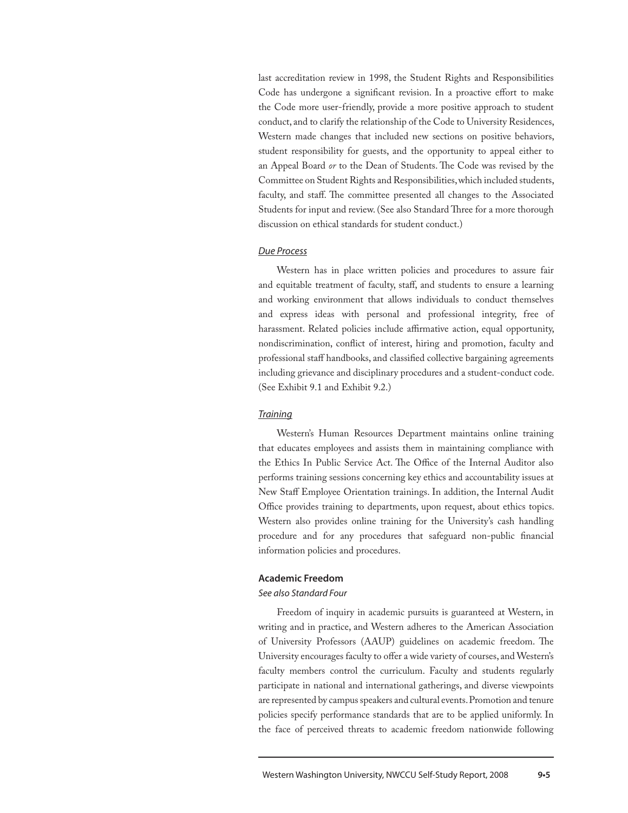last accreditation review in 1998, the Student Rights and Responsibilities Code has undergone a significant revision. In a proactive effort to make the Code more user-friendly, provide a more positive approach to student conduct, and to clarify the relationship of the Code to University Residences, Western made changes that included new sections on positive behaviors, student responsibility for guests, and the opportunity to appeal either to an Appeal Board *or* to the Dean of Students. The Code was revised by the Committee on Student Rights and Responsibilities, which included students, faculty, and staff. The committee presented all changes to the Associated Students for input and review. (See also Standard Three for a more thorough discussion on ethical standards for student conduct.)

#### *Due Process*

Western has in place written policies and procedures to assure fair and equitable treatment of faculty, staff, and students to ensure a learning and working environment that allows individuals to conduct themselves and express ideas with personal and professional integrity, free of harassment. Related policies include affirmative action, equal opportunity, nondiscrimination, conflict of interest, hiring and promotion, faculty and professional staff handbooks, and classified collective bargaining agreements including grievance and disciplinary procedures and a student-conduct code. (See Exhibit 9.1 and Exhibit 9.2.)

#### *Training*

Western's Human Resources Department maintains online training that educates employees and assists them in maintaining compliance with the Ethics In Public Service Act. The Office of the Internal Auditor also performs training sessions concerning key ethics and accountability issues at New Staff Employee Orientation trainings. In addition, the Internal Audit Office provides training to departments, upon request, about ethics topics. Western also provides online training for the University's cash handling procedure and for any procedures that safeguard non-public financial information policies and procedures.

#### **Academic Freedom**

#### *See also Standard Four*

Freedom of inquiry in academic pursuits is guaranteed at Western, in writing and in practice, and Western adheres to the American Association of University Professors (AAUP) guidelines on academic freedom. The University encourages faculty to offer a wide variety of courses, and Western's faculty members control the curriculum. Faculty and students regularly participate in national and international gatherings, and diverse viewpoints are represented by campus speakers and cultural events. Promotion and tenure policies specify performance standards that are to be applied uniformly. In the face of perceived threats to academic freedom nationwide following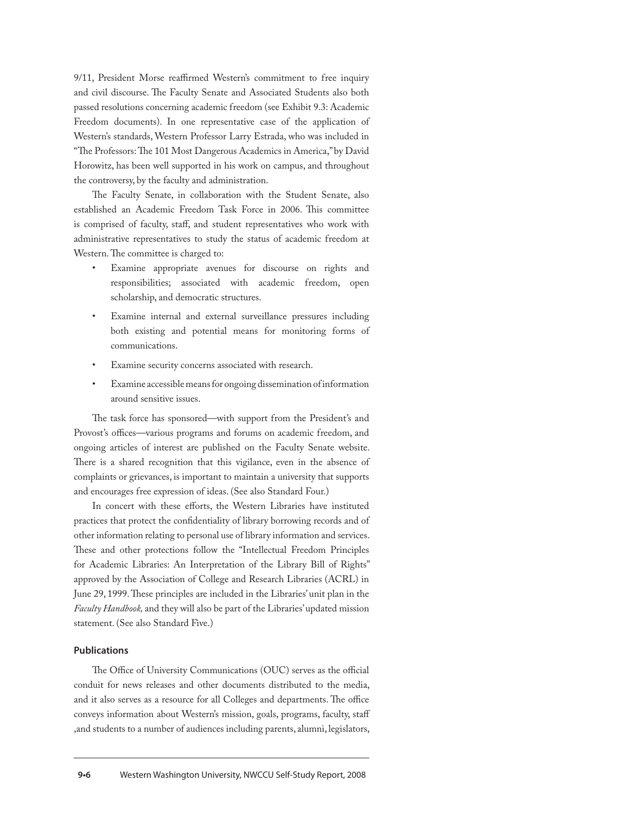9/11, President Morse reaffirmed Western's commitment to free inquiry and civil discourse. The Faculty Senate and Associated Students also both passed resolutions concerning academic freedom (see Exhibit 9.3: Academic Freedom documents). In one representative case of the application of Western's standards, Western Professor Larry Estrada, who was included in "The Professors: The 101 Most Dangerous Academics in America," by David Horowitz, has been well supported in his work on campus, and throughout the controversy, by the faculty and administration.

The Faculty Senate, in collaboration with the Student Senate, also established an Academic Freedom Task Force in 2006. This committee is comprised of faculty, staff, and student representatives who work with administrative representatives to study the status of academic freedom at Western. The committee is charged to:

- Examine appropriate avenues for discourse on rights and responsibilities; associated with academic freedom, open scholarship, and democratic structures.
- Examine internal and external surveillance pressures including both existing and potential means for monitoring forms of communications.
- Examine security concerns associated with research.
- Examine accessible means for ongoing dissemination of information around sensitive issues.

The task force has sponsored—with support from the President's and Provost's offices—various programs and forums on academic freedom, and ongoing articles of interest are published on the Faculty Senate website. There is a shared recognition that this vigilance, even in the absence of complaints or grievances, is important to maintain a university that supports and encourages free expression of ideas. (See also Standard Four.)

In concert with these efforts, the Western Libraries have instituted practices that protect the confidentiality of library borrowing records and of other information relating to personal use of library information and services. These and other protections follow the "Intellectual Freedom Principles for Academic Libraries: An Interpretation of the Library Bill of Rights" approved by the Association of College and Research Libraries (ACRL) in June 29, 1999. These principles are included in the Libraries' unit plan in the *Faculty Handbook,* and they will also be part of the Libraries' updated mission statement. (See also Standard Five.)

#### **Publications**

The Office of University Communications (OUC) serves as the official conduit for news releases and other documents distributed to the media, and it also serves as a resource for all Colleges and departments. The office conveys information about Western's mission, goals, programs, faculty, staff ,and students to a number of audiences including parents, alumni, legislators,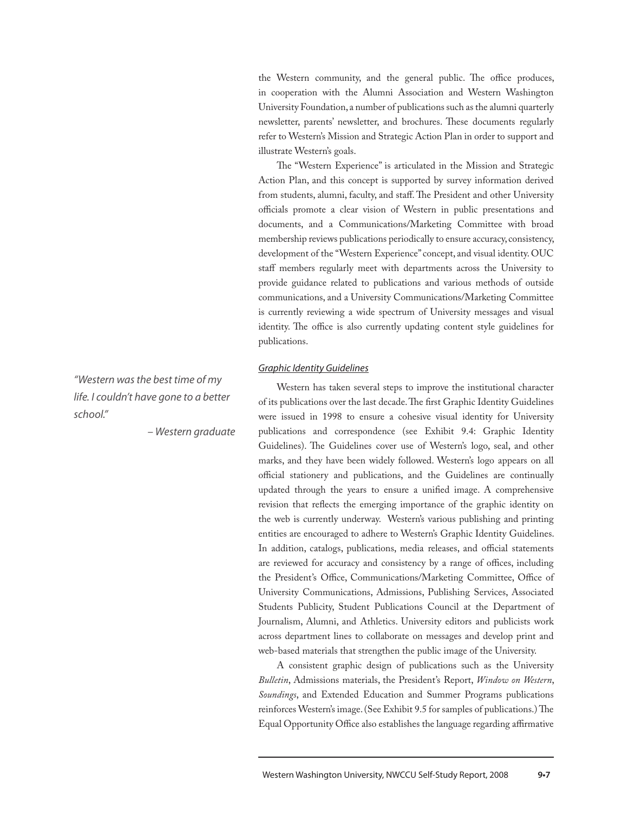the Western community, and the general public. The office produces, in cooperation with the Alumni Association and Western Washington University Foundation, a number of publications such as the alumni quarterly newsletter, parents' newsletter, and brochures. These documents regularly refer to Western's Mission and Strategic Action Plan in order to support and illustrate Western's goals.

The "Western Experience" is articulated in the Mission and Strategic Action Plan, and this concept is supported by survey information derived from students, alumni, faculty, and staff. The President and other University officials promote a clear vision of Western in public presentations and documents, and a Communications/Marketing Committee with broad membership reviews publications periodically to ensure accuracy, consistency, development of the "Western Experience" concept, and visual identity. OUC staff members regularly meet with departments across the University to provide guidance related to publications and various methods of outside communications, and a University Communications/Marketing Committee is currently reviewing a wide spectrum of University messages and visual identity. The office is also currently updating content style guidelines for publications.

#### *Graphic Identity Guidelines*

Western has taken several steps to improve the institutional character of its publications over the last decade. The first Graphic Identity Guidelines were issued in 1998 to ensure a cohesive visual identity for University publications and correspondence (see Exhibit 9.4: Graphic Identity Guidelines). The Guidelines cover use of Western's logo, seal, and other marks, and they have been widely followed. Western's logo appears on all official stationery and publications, and the Guidelines are continually updated through the years to ensure a unified image. A comprehensive revision that reflects the emerging importance of the graphic identity on the web is currently underway. Western's various publishing and printing entities are encouraged to adhere to Western's Graphic Identity Guidelines. In addition, catalogs, publications, media releases, and official statements are reviewed for accuracy and consistency by a range of offices, including the President's Office, Communications/Marketing Committee, Office of University Communications, Admissions, Publishing Services, Associated Students Publicity, Student Publications Council at the Department of Journalism, Alumni, and Athletics. University editors and publicists work across department lines to collaborate on messages and develop print and web-based materials that strengthen the public image of the University.

A consistent graphic design of publications such as the University *Bulletin*, Admissions materials, the President's Report, *Window on Western*, *Soundings*, and Extended Education and Summer Programs publications reinforces Western's image. (See Exhibit 9.5 for samples of publications.) The Equal Opportunity Office also establishes the language regarding affirmative

*"Western was the best time of my life. I couldn't have gone to a better school."*

*– Western graduate*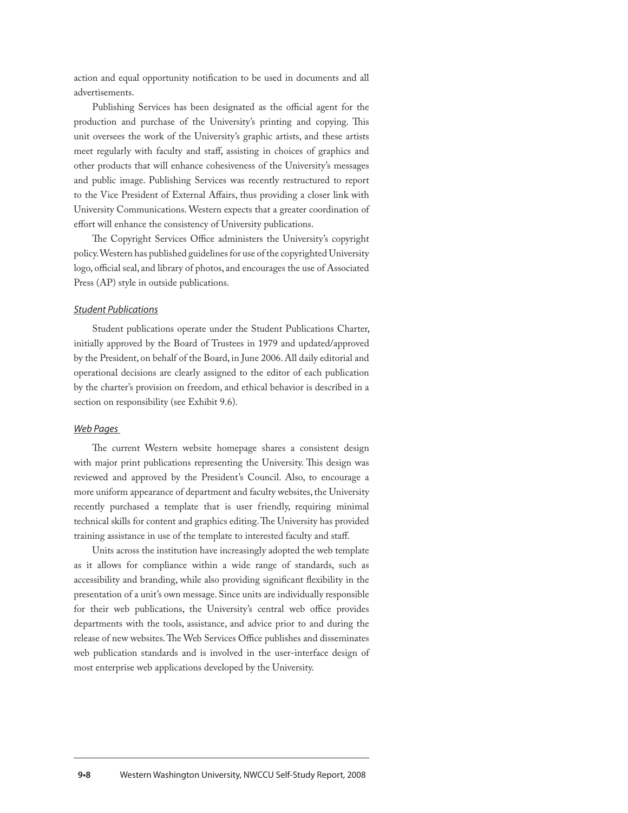action and equal opportunity notification to be used in documents and all advertisements.

Publishing Services has been designated as the official agent for the production and purchase of the University's printing and copying. This unit oversees the work of the University's graphic artists, and these artists meet regularly with faculty and staff, assisting in choices of graphics and other products that will enhance cohesiveness of the University's messages and public image. Publishing Services was recently restructured to report to the Vice President of External Affairs, thus providing a closer link with University Communications. Western expects that a greater coordination of effort will enhance the consistency of University publications.

The Copyright Services Office administers the University's copyright policy. Western has published guidelines for use of the copyrighted University logo, official seal, and library of photos, and encourages the use of Associated Press (AP) style in outside publications.

#### *Student Publications*

Student publications operate under the Student Publications Charter, initially approved by the Board of Trustees in 1979 and updated/approved by the President, on behalf of the Board, in June 2006. All daily editorial and operational decisions are clearly assigned to the editor of each publication by the charter's provision on freedom, and ethical behavior is described in a section on responsibility (see Exhibit 9.6).

#### *Web Pages*

The current Western website homepage shares a consistent design with major print publications representing the University. This design was reviewed and approved by the President's Council. Also, to encourage a more uniform appearance of department and faculty websites, the University recently purchased a template that is user friendly, requiring minimal technical skills for content and graphics editing. The University has provided training assistance in use of the template to interested faculty and staff.

Units across the institution have increasingly adopted the web template as it allows for compliance within a wide range of standards, such as accessibility and branding, while also providing significant flexibility in the presentation of a unit's own message. Since units are individually responsible for their web publications, the University's central web office provides departments with the tools, assistance, and advice prior to and during the release of new websites. The Web Services Office publishes and disseminates web publication standards and is involved in the user-interface design of most enterprise web applications developed by the University.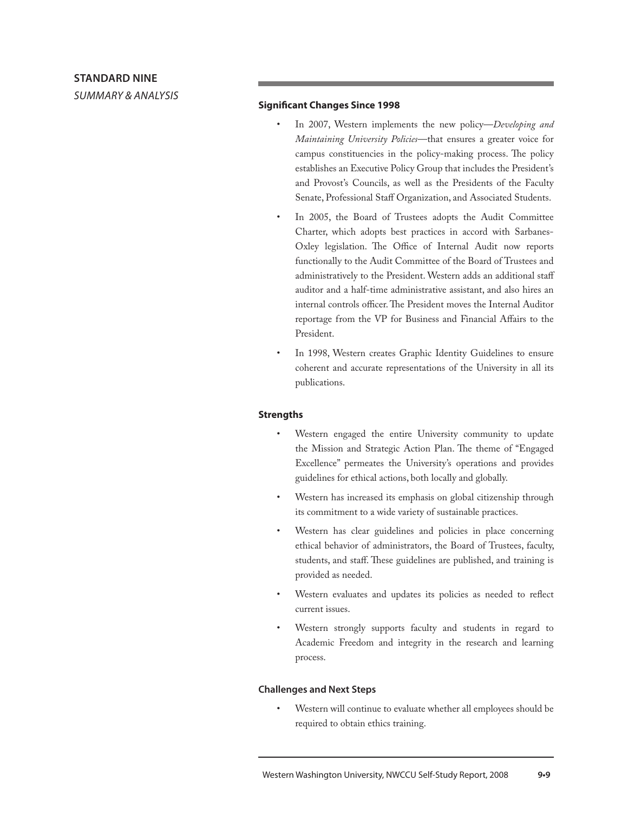*summary & analysis*

### **Significant Changes Since 1998**

- In 2007, Western implements the new policy—*Developing and Maintaining University Policies*—that ensures a greater voice for campus constituencies in the policy-making process. The policy establishes an Executive Policy Group that includes the President's and Provost's Councils, as well as the Presidents of the Faculty Senate, Professional Staff Organization, and Associated Students.
- In 2005, the Board of Trustees adopts the Audit Committee Charter, which adopts best practices in accord with Sarbanes-Oxley legislation. The Office of Internal Audit now reports functionally to the Audit Committee of the Board of Trustees and administratively to the President. Western adds an additional staff auditor and a half-time administrative assistant, and also hires an internal controls officer. The President moves the Internal Auditor reportage from the VP for Business and Financial Affairs to the President.
- In 1998, Western creates Graphic Identity Guidelines to ensure coherent and accurate representations of the University in all its publications.

# **Strengths**

- Western engaged the entire University community to update the Mission and Strategic Action Plan. The theme of "Engaged Excellence" permeates the University's operations and provides guidelines for ethical actions, both locally and globally.
- Western has increased its emphasis on global citizenship through its commitment to a wide variety of sustainable practices.
- Western has clear guidelines and policies in place concerning ethical behavior of administrators, the Board of Trustees, faculty, students, and staff. These guidelines are published, and training is provided as needed.
- Western evaluates and updates its policies as needed to reflect current issues.
- Western strongly supports faculty and students in regard to Academic Freedom and integrity in the research and learning process.

# **Challenges and Next Steps**

Western will continue to evaluate whether all employees should be required to obtain ethics training.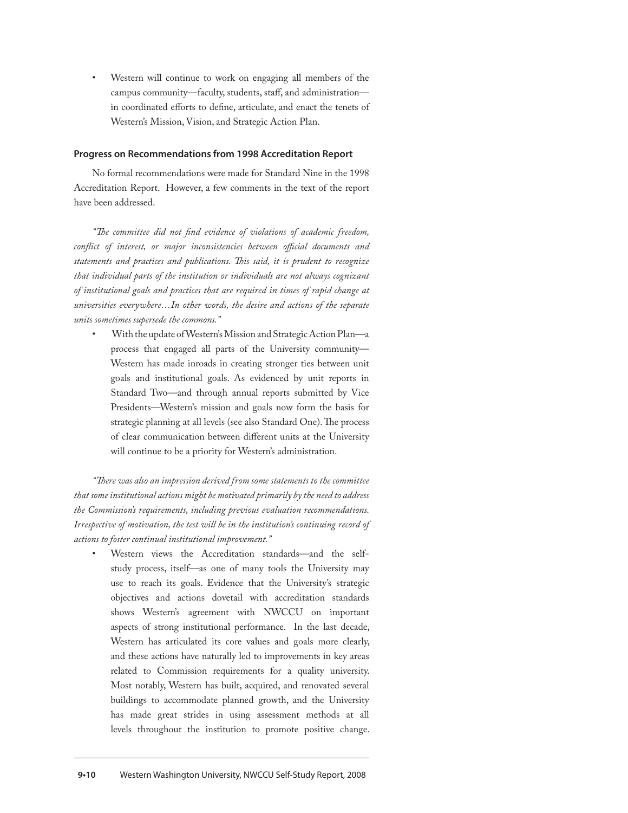Western will continue to work on engaging all members of the campus community—faculty, students, staff, and administration in coordinated efforts to define, articulate, and enact the tenets of Western's Mission, Vision, and Strategic Action Plan.

#### **Progress on Recommendations from 1998 Accreditation Report**

No formal recommendations were made for Standard Nine in the 1998 Accreditation Report. However, a few comments in the text of the report have been addressed.

*"The committee did not find evidence of violations of academic freedom, conflict of interest, or major inconsistencies between official documents and statements and practices and publications. This said, it is prudent to recognize that individual parts of the institution or individuals are not always cognizant of institutional goals and practices that are required in times of rapid change at universities everywhere…In other words, the desire and actions of the separate units sometimes supersede the commons."*

With the update of Western's Mission and Strategic Action Plan—a process that engaged all parts of the University community— Western has made inroads in creating stronger ties between unit goals and institutional goals. As evidenced by unit reports in Standard Two—and through annual reports submitted by Vice Presidents—Western's mission and goals now form the basis for strategic planning at all levels (see also Standard One). The process of clear communication between different units at the University will continue to be a priority for Western's administration.

*"There was also an impression derived from some statements to the committee that some institutional actions might be motivated primarily by the need to address the Commission's requirements, including previous evaluation recommendations. Irrespective of motivation, the test will be in the institution's continuing record of actions to foster continual institutional improvement."*

Western views the Accreditation standards—and the selfstudy process, itself—as one of many tools the University may use to reach its goals. Evidence that the University's strategic objectives and actions dovetail with accreditation standards shows Western's agreement with NWCCU on important aspects of strong institutional performance. In the last decade, Western has articulated its core values and goals more clearly, and these actions have naturally led to improvements in key areas related to Commission requirements for a quality university. Most notably, Western has built, acquired, and renovated several buildings to accommodate planned growth, and the University has made great strides in using assessment methods at all levels throughout the institution to promote positive change.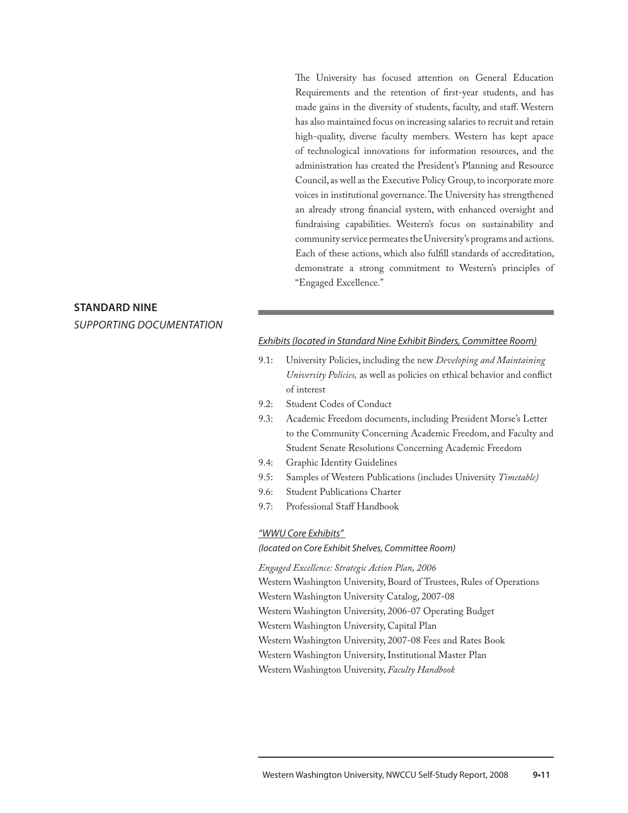The University has focused attention on General Education Requirements and the retention of first-year students, and has made gains in the diversity of students, faculty, and staff. Western has also maintained focus on increasing salaries to recruit and retain high-quality, diverse faculty members. Western has kept apace of technological innovations for information resources, and the administration has created the President's Planning and Resource Council, as well as the Executive Policy Group, to incorporate more voices in institutional governance. The University has strengthened an already strong financial system, with enhanced oversight and fundraising capabilities. Western's focus on sustainability and community service permeates the University's programs and actions. Each of these actions, which also fulfill standards of accreditation, demonstrate a strong commitment to Western's principles of "Engaged Excellence."

# **Standard nine** *supporting documentation*

#### *Exhibits (located in Standard Nine Exhibit Binders, Committee Room)*

- 9.1: University Policies, including the new *Developing and Maintaining University Policies,* as well as policies on ethical behavior and conflict of interest
- 9.2: Student Codes of Conduct
- 9.3: Academic Freedom documents, including President Morse's Letter to the Community Concerning Academic Freedom, and Faculty and Student Senate Resolutions Concerning Academic Freedom
- 9.4: Graphic Identity Guidelines
- 9.5: Samples of Western Publications (includes University *Timetable)*
- 9.6: Student Publications Charter
- 9.7: Professional Staff Handbook

#### *"WWU Core Exhibits"*

*(located on Core Exhibit Shelves, Committee Room)*

*Engaged Excellence: Strategic Action Plan, 2006*

Western Washington University, Board of Trustees, Rules of Operations

Western Washington University Catalog, 2007-08

Western Washington University, 2006-07 Operating Budget

Western Washington University, Capital Plan

Western Washington University, 2007-08 Fees and Rates Book

Western Washington University, Institutional Master Plan

Western Washington University, *Faculty Handbook*